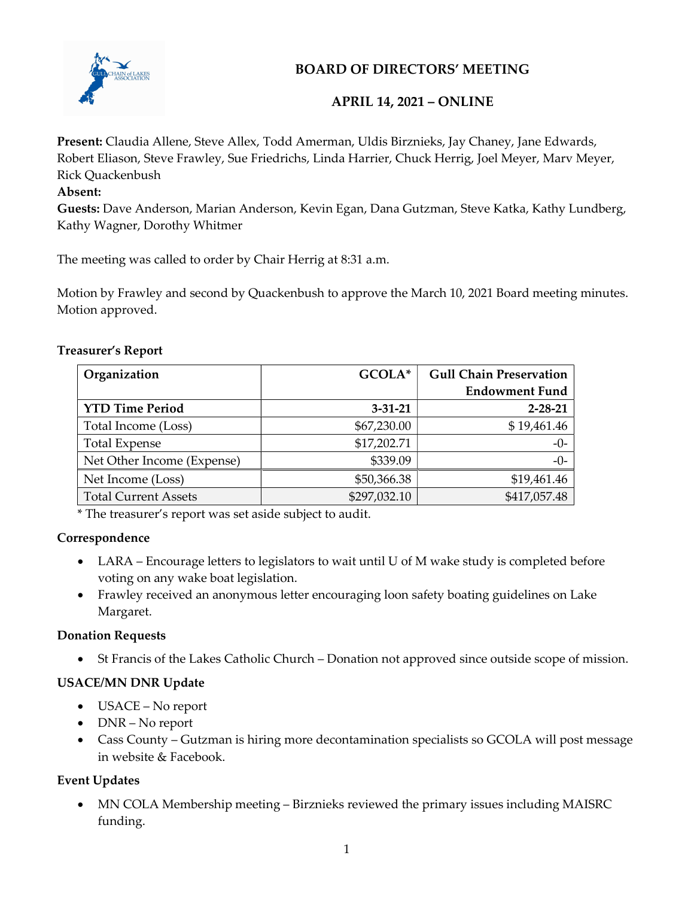

# BOARD OF DIRECTORS' MEETING

## APRIL 14, 2021 – ONLINE

Present: Claudia Allene, Steve Allex, Todd Amerman, Uldis Birznieks, Jay Chaney, Jane Edwards, Robert Eliason, Steve Frawley, Sue Friedrichs, Linda Harrier, Chuck Herrig, Joel Meyer, Marv Meyer, Rick Quackenbush

#### Absent:

Guests: Dave Anderson, Marian Anderson, Kevin Egan, Dana Gutzman, Steve Katka, Kathy Lundberg, Kathy Wagner, Dorothy Whitmer

The meeting was called to order by Chair Herrig at 8:31 a.m.

Motion by Frawley and second by Quackenbush to approve the March 10, 2021 Board meeting minutes. Motion approved.

### Treasurer's Report

| Organization                | GCOLA*        | <b>Gull Chain Preservation</b> |
|-----------------------------|---------------|--------------------------------|
|                             |               | <b>Endowment Fund</b>          |
| <b>YTD Time Period</b>      | $3 - 31 - 21$ | $2 - 28 - 21$                  |
| Total Income (Loss)         | \$67,230.00   | \$19,461.46                    |
| <b>Total Expense</b>        | \$17,202.71   | $-0-$                          |
| Net Other Income (Expense)  | \$339.09      | $-0-$                          |
| Net Income (Loss)           | \$50,366.38   | \$19,461.46                    |
| <b>Total Current Assets</b> | \$297,032.10  | \$417,057.48                   |

\* The treasurer's report was set aside subject to audit.

## Correspondence

- LARA Encourage letters to legislators to wait until U of M wake study is completed before voting on any wake boat legislation.
- Frawley received an anonymous letter encouraging loon safety boating guidelines on Lake Margaret.

## Donation Requests

St Francis of the Lakes Catholic Church – Donation not approved since outside scope of mission.

## USACE/MN DNR Update

- USACE No report
- DNR No report
- Cass County Gutzman is hiring more decontamination specialists so GCOLA will post message in website & Facebook.

## Event Updates

 MN COLA Membership meeting – Birznieks reviewed the primary issues including MAISRC funding.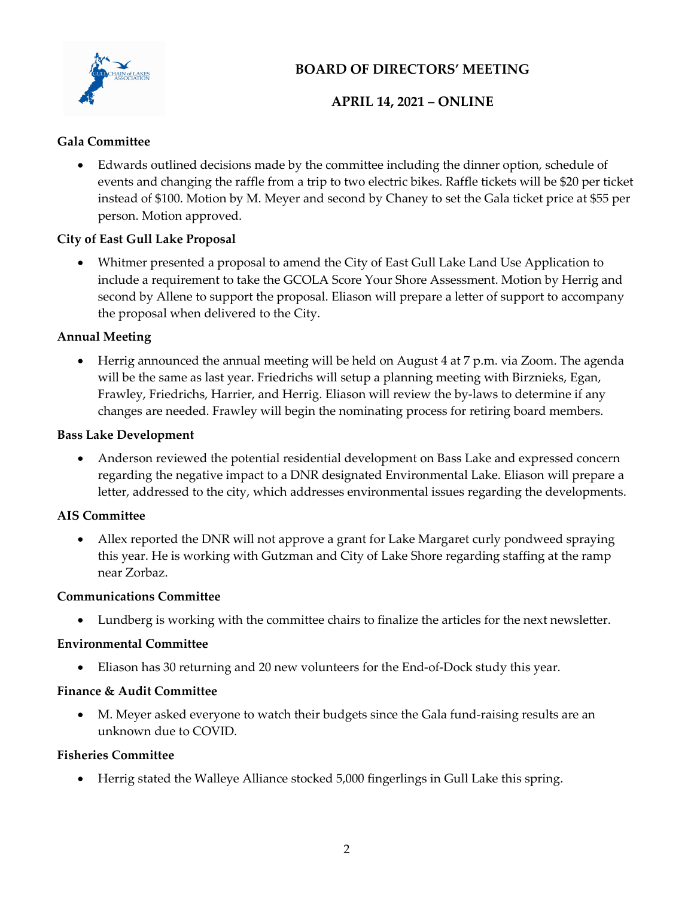

# BOARD OF DIRECTORS' MEETING

## APRIL 14, 2021 – ONLINE

## Gala Committee

 Edwards outlined decisions made by the committee including the dinner option, schedule of events and changing the raffle from a trip to two electric bikes. Raffle tickets will be \$20 per ticket instead of \$100. Motion by M. Meyer and second by Chaney to set the Gala ticket price at \$55 per person. Motion approved.

## City of East Gull Lake Proposal

 Whitmer presented a proposal to amend the City of East Gull Lake Land Use Application to include a requirement to take the GCOLA Score Your Shore Assessment. Motion by Herrig and second by Allene to support the proposal. Eliason will prepare a letter of support to accompany the proposal when delivered to the City.

## Annual Meeting

 Herrig announced the annual meeting will be held on August 4 at 7 p.m. via Zoom. The agenda will be the same as last year. Friedrichs will setup a planning meeting with Birznieks, Egan, Frawley, Friedrichs, Harrier, and Herrig. Eliason will review the by-laws to determine if any changes are needed. Frawley will begin the nominating process for retiring board members.

### Bass Lake Development

 Anderson reviewed the potential residential development on Bass Lake and expressed concern regarding the negative impact to a DNR designated Environmental Lake. Eliason will prepare a letter, addressed to the city, which addresses environmental issues regarding the developments.

## AIS Committee

 Allex reported the DNR will not approve a grant for Lake Margaret curly pondweed spraying this year. He is working with Gutzman and City of Lake Shore regarding staffing at the ramp near Zorbaz.

#### Communications Committee

Lundberg is working with the committee chairs to finalize the articles for the next newsletter.

## Environmental Committee

Eliason has 30 returning and 20 new volunteers for the End-of-Dock study this year.

## Finance & Audit Committee

 M. Meyer asked everyone to watch their budgets since the Gala fund-raising results are an unknown due to COVID.

## Fisheries Committee

Herrig stated the Walleye Alliance stocked 5,000 fingerlings in Gull Lake this spring.